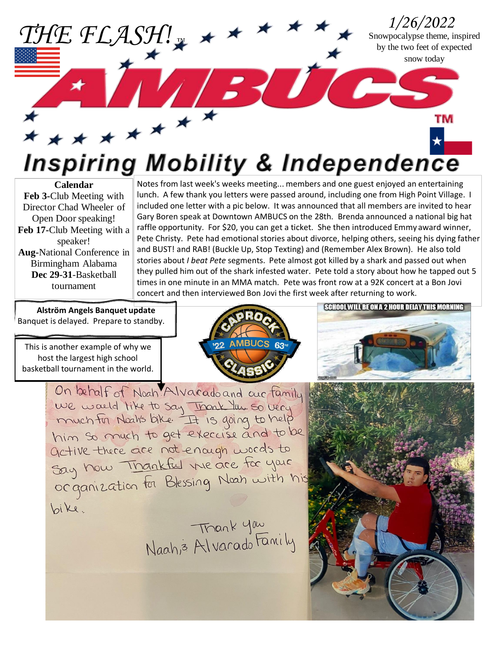*1/26/2022* Snowpocalypse theme, inspired by the two feet of expected snow today BUC

TM

## \*\*\*\*\*\*\*\* **Inspiring Mobility & Independence**

**Calendar Feb 3-**Club Meeting with Director Chad Wheeler of Open Door speaking! **Feb 17-**Club Meeting with a speaker! **Aug-**National Conference in Birmingham Alabama **Dec 29-31**-Basketball tournament

Notes from last week's weeks meeting... members and one guest enjoyed an entertaining lunch. A few thank you letters were passed around, including one from High Point Village. I included one letter with a pic below. It was announced that all members are invited to hear Gary Boren speak at Downtown AMBUCS on the 28th. Brenda announced a national big hat raffle opportunity. For \$20, you can get a ticket. She then introduced Emmy award winner, Pete Christy. Pete had emotional stories about divorce, helping others, seeing his dying father and BUST! and RAB! (Buckle Up, Stop Texting) and (Remember Alex Brown). He also told stories about *I beat Pete* segments. Pete almost got killed by a shark and passed out when they pulled him out of the shark infested water. Pete told a story about how he tapped out 5 times in one minute in an MMA match. Pete was front row at a 92K concert at a Bon Jovi concert and then interviewed Bon Jovi the first week after returning to work.

**Alstrӧm Angels Banquet update** Banquet is delayed. Prepare to standby.

*THE FLASH! ™*

This is another example of why we host the largest high school basketball tournament in the world.







On behalf of Noah Alvarado and our family we would like to say Inonk les so very him so much to get execcise and to be active there are not enough words to Say how Thankful the are for your Say now interneties the accuration bike.

Trank you<br>Naah, 3 Alvarado Family